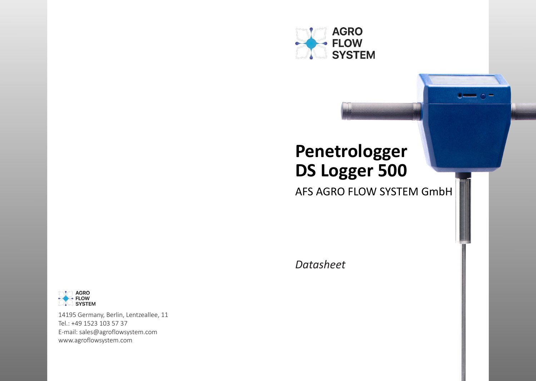

# **Penetrologger DS Logger 500**

AFS AGRO FLOW SYSTEM GmbH

 $\bullet$   $\bullet$   $\bullet$ 

*Datasheet*



14195 Germany, Berlin, Lentzeallee, 11 Tel.: +49 1523 103 57 37 E-mail: sales@agroflowsystem.com www.agroflowsystem.com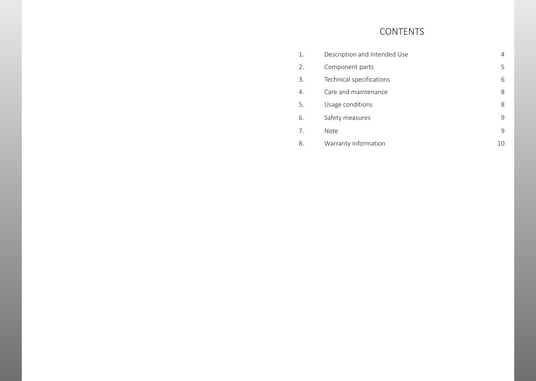# CONTENTS

| 1. | Description and Intended Use | 4  |
|----|------------------------------|----|
| 2. | Component parts              | 5  |
| 3. | Technical specifications     | 6  |
| 4. | Care and maintenance         | 8  |
| 5. | Usage conditions             | 8  |
| 6. | Safety measures              | 9  |
| 7. | <b>Note</b>                  | 9  |
| 8. | Warranty information         | 10 |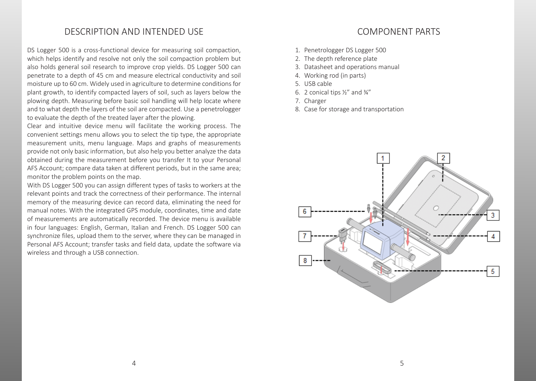# DESCRIPTION AND INTENDED USE

DS Logger 500 is a cross-functional device for measuring soil compaction, which helps identify and resolve not only the soil compaction problem but also holds general soil research to improve crop yields. DS Logger 500 can penetrate to a depth of 45 cm and measure electrical conductivity and soil moisture up to 60 cm. Widely used in agriculture to determine conditions for plant growth, to identify compacted layers of soil, such as layers below the plowing depth. Measuring before basic soil handling will help locate where and to what depth the layers of the soil are compacted. Use a penetrologger to evaluate the depth of the treated layer after the plowing.

Clear and intuitive device menu will facilitate the working process. The convenient settings menu allows you to select the tip type, the appropriate measurement units, menu language. Maps and graphs of measurements provide not only basic information, but also help you better analyze the data obtained during the measurement before you transfer It to your Personal AFS Account; compare data taken at different periods, but in the same area; monitor the problem points on the map.

With DS Logger 500 you can assign different types of tasks to workers at the relevant points and track the correctness of their performance. The internal memory of the measuring device can record data, eliminating the need for manual notes. With the integrated GPS module, coordinates, time and date of measurements are automatically recorded. The device menu is available in four languages: English, German, Italian and French. DS Logger 500 can synchronize files, upload them to the server, where they can be managed in Personal AFS Account; transfer tasks and field data, update the software via wireless and through a USB connection.

# COMPONENT PARTS

- 1. Penetrologger DS Logger 500
- 2. The depth reference plate
- 3. Datasheet and operations manual
- 4. Working rod (in parts)
- 5. USB cable
- 6. 2 conical tips  $\frac{1}{2}$  and  $\frac{3}{4}$ "
- 7. Charger
- 8. Case for storage and transportation

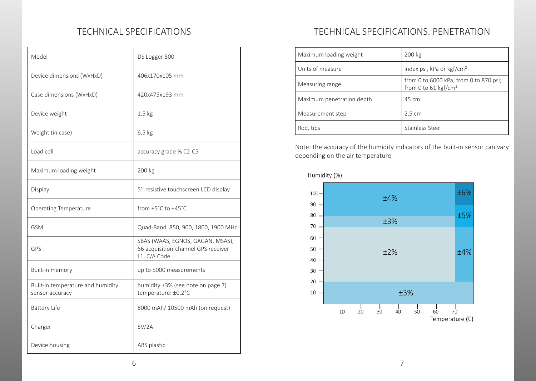| Model                                                | DS Logger 500                                                                           |
|------------------------------------------------------|-----------------------------------------------------------------------------------------|
| Device dimensions (WxHxD)                            | 406x170x105 mm                                                                          |
| Case dimensions (WxHxD)                              | 420x475x193 mm                                                                          |
| Device weight                                        | $1,5$ kg                                                                                |
| Weight (in case)                                     | $6,5$ kg                                                                                |
| Load cell                                            | accuracy grade % C2-C5                                                                  |
| Maximum loading weight                               | 200 kg                                                                                  |
| Display                                              | 5" resistive touchscreen LCD display                                                    |
| <b>Operating Temperature</b>                         | from $+5^{\circ}$ C to $+45^{\circ}$ C                                                  |
| <b>GSM</b>                                           | Quad-Band 850, 900, 1800, 1900 MHz                                                      |
| GPS                                                  | SBAS (WAAS, EGNOS, GAGAN, MSAS),<br>66 acquisition-channel GPS receiver<br>L1, C/A Code |
| Built-in memory                                      | up to 5000 measurements                                                                 |
| Built-in temperature and humidity<br>sensor accuracy | humidity ±3% (see note on page 7)<br>temperature: ±0.2°C                                |
| <b>Battery Life</b>                                  | 8000 mAh/ 10500 mAh (on request)                                                        |
| Charger                                              | 5V/2A                                                                                   |
| Device housing                                       | ABS plastic                                                                             |

# TECHNICAL SPECIFICATIONS TECHNICAL SPECIFICATIONS. PENETRATION

| Maximum loading weight    | 200 kg                                                                     |
|---------------------------|----------------------------------------------------------------------------|
| Units of measure          | index psi, kPa or kgf/cm <sup>2</sup>                                      |
| Measuring range           | from 0 to 6000 kPa; from 0 to 870 psi;<br>from 0 to 61 kgf/cm <sup>2</sup> |
| Maximum penetration depth | 45 cm                                                                      |
| Measurement step          | 2,5 cm                                                                     |
| Rod, tips                 | Stainless Steel                                                            |

Note: the accuracy of the humidity indicators of the built-in sensor can vary depending on the air temperature.

Humidity (%)

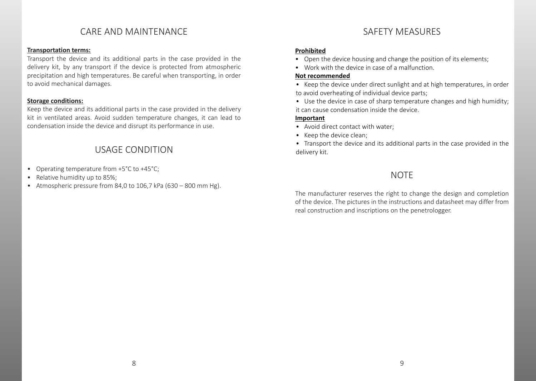# CARE AND MAINTENANCE SAFETY MEASURES

#### **Transportation terms:**

Transport the device and its additional parts in the case provided in the delivery kit, by any transport if the device is protected from atmospheric precipitation and high temperatures. Be careful when transporting, in order to avoid mechanical damages.

### **Storage conditions:**

Keep the device and its additional parts in the case provided in the delivery kit in ventilated areas. Avoid sudden temperature changes, it can lead to condensation inside the device and disrupt its performance in use.

# USAGE CONDITION

- Operating temperature from +5°C to +45°C;
- Relative humidity up to 85%;
- Atmospheric pressure from 84,0 to 106,7 kPa (630 800 mm Hg).

#### **Prohibited**

- Open the device housing and change the position of its elements;
- Work with the device in case of a malfunction.

### **Not recommended**

- Keep the device under direct sunlight and at high temperatures, in order to avoid overheating of individual device parts;
- Use the device in case of sharp temperature changes and high humidity; it can cause condensation inside the device.

### **Important**

- Avoid direct contact with water;
- Keep the device clean;
- Transport the device and its additional parts in the case provided in the delivery kit.

# **NOTE**

The manufacturer reserves the right to change the design and completion of the device. The pictures in the instructions and datasheet may differ from real construction and inscriptions on the penetrologger.